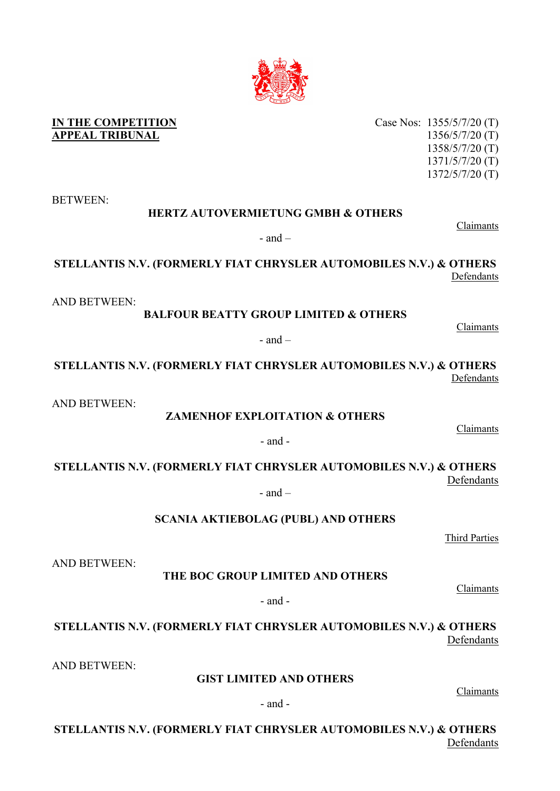Case Nos: 1355/5/7/20 (T) 1356/5/7/20 (T) 1358/5/7/20 (T) 1371/5/7/20 (T) 1372/5/7/20 (T)

Claimants

**STELLANTIS N.V. (FORMERLY FIAT CHRYSLER AUTOMOBILES N.V.) & OTHERS** Defendants

Claimants

 $-$  and  $-$ 

**BALFOUR BEATTY GROUP LIMITED & OTHERS**

**HERTZ AUTOVERMIETUNG GMBH & OTHERS**

- and –

**STELLANTIS N.V. (FORMERLY FIAT CHRYSLER AUTOMOBILES N.V.) & OTHERS** Defendants

AND BETWEEN:

AND BETWEEN:

**ZAMENHOF EXPLOITATION & OTHERS**

**STELLANTIS N.V. (FORMERLY FIAT CHRYSLER AUTOMOBILES N.V.) & OTHERS** Defendants  $-$  and  $-$ 

- and -

**SCANIA AKTIEBOLAG (PUBL) AND OTHERS**

**THE BOC GROUP LIMITED AND OTHERS**

- and -

**STELLANTIS N.V. (FORMERLY FIAT CHRYSLER AUTOMOBILES N.V.) & OTHERS** Defendants

AND BETWEEN:

AND BETWEEN:

**GIST LIMITED AND OTHERS**

- and -

**STELLANTIS N.V. (FORMERLY FIAT CHRYSLER AUTOMOBILES N.V.) & OTHERS** Defendants



**IN THE COMPETITION APPEAL TRIBUNAL**

BETWEEN:

Claimants

Claimants

Claimants

Third Parties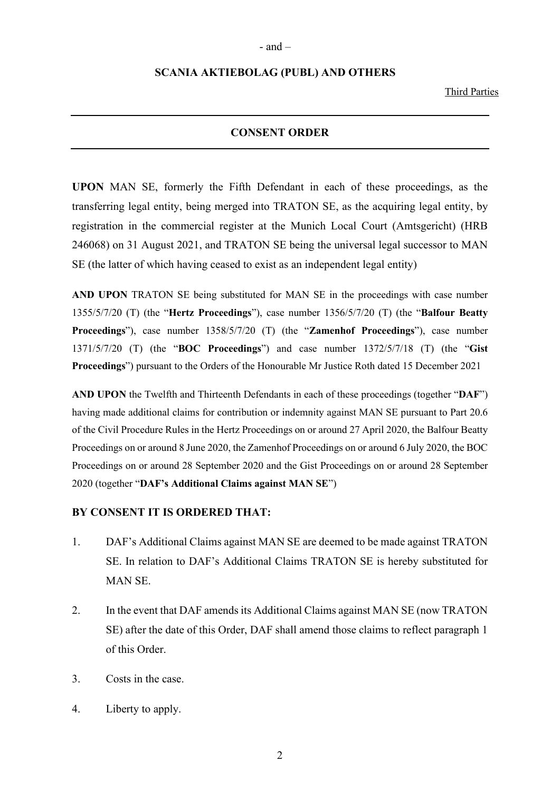## **SCANIA AKTIEBOLAG (PUBL) AND OTHERS**

Third Parties

## **CONSENT ORDER**

**UPON** MAN SE, formerly the Fifth Defendant in each of these proceedings, as the transferring legal entity, being merged into TRATON SE, as the acquiring legal entity, by registration in the commercial register at the Munich Local Court (Amtsgericht) (HRB 246068) on 31 August 2021, and TRATON SE being the universal legal successor to MAN SE (the latter of which having ceased to exist as an independent legal entity)

**AND UPON** TRATON SE being substituted for MAN SE in the proceedings with case number 1355/5/7/20 (T) (the "**Hertz Proceedings**"), case number 1356/5/7/20 (T) (the "**Balfour Beatty Proceedings**"), case number 1358/5/7/20 (T) (the "**Zamenhof Proceedings**"), case number 1371/5/7/20 (T) (the "**BOC Proceedings**") and case number 1372/5/7/18 (T) (the "**Gist Proceedings**") pursuant to the Orders of the Honourable Mr Justice Roth dated 15 December 2021

**AND UPON** the Twelfth and Thirteenth Defendants in each of these proceedings (together "**DAF**") having made additional claims for contribution or indemnity against MAN SE pursuant to Part 20.6 of the Civil Procedure Rules in the Hertz Proceedings on or around 27 April 2020, the Balfour Beatty Proceedings on or around 8 June 2020, the Zamenhof Proceedings on or around 6 July 2020, the BOC Proceedings on or around 28 September 2020 and the Gist Proceedings on or around 28 September 2020 (together "**DAF's Additional Claims against MAN SE**")

## **BY CONSENT IT IS ORDERED THAT:**

- 1. DAF's Additional Claims against MAN SE are deemed to be made against TRATON SE. In relation to DAF's Additional Claims TRATON SE is hereby substituted for MAN SE.
- 2. In the event that DAF amends its Additional Claims against MAN SE (now TRATON SE) after the date of this Order, DAF shall amend those claims to reflect paragraph 1 of this Order.
- 3. Costs in the case.
- 4. Liberty to apply.